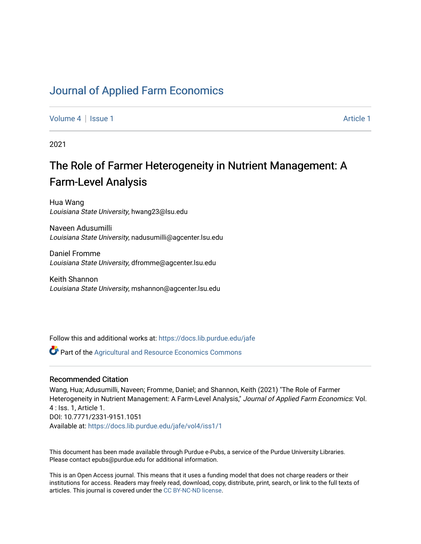# [Journal of Applied Farm Economics](https://docs.lib.purdue.edu/jafe)

[Volume 4](https://docs.lib.purdue.edu/jafe/vol4) | [Issue 1](https://docs.lib.purdue.edu/jafe/vol4/iss1) Article 1

2021

# The Role of Farmer Heterogeneity in Nutrient Management: A Farm-Level Analysis

Hua Wang Louisiana State University, hwang23@lsu.edu

Naveen Adusumilli Louisiana State University, nadusumilli@agcenter.lsu.edu

Daniel Fromme Louisiana State University, dfromme@agcenter.lsu.edu

Keith Shannon Louisiana State University, mshannon@agcenter.lsu.edu

Follow this and additional works at: [https://docs.lib.purdue.edu/jafe](https://docs.lib.purdue.edu/jafe?utm_source=docs.lib.purdue.edu%2Fjafe%2Fvol4%2Fiss1%2F1&utm_medium=PDF&utm_campaign=PDFCoverPages)

Part of the [Agricultural and Resource Economics Commons](http://network.bepress.com/hgg/discipline/317?utm_source=docs.lib.purdue.edu%2Fjafe%2Fvol4%2Fiss1%2F1&utm_medium=PDF&utm_campaign=PDFCoverPages) 

# Recommended Citation

Wang, Hua; Adusumilli, Naveen; Fromme, Daniel; and Shannon, Keith (2021) "The Role of Farmer Heterogeneity in Nutrient Management: A Farm-Level Analysis," Journal of Applied Farm Economics: Vol. 4 : Iss. 1, Article 1. DOI: 10.7771/2331-9151.1051 Available at: [https://docs.lib.purdue.edu/jafe/vol4/iss1/1](https://docs.lib.purdue.edu/jafe/vol4/iss1/1?utm_source=docs.lib.purdue.edu%2Fjafe%2Fvol4%2Fiss1%2F1&utm_medium=PDF&utm_campaign=PDFCoverPages)

This document has been made available through Purdue e-Pubs, a service of the Purdue University Libraries. Please contact epubs@purdue.edu for additional information.

This is an Open Access journal. This means that it uses a funding model that does not charge readers or their institutions for access. Readers may freely read, download, copy, distribute, print, search, or link to the full texts of articles. This journal is covered under the [CC BY-NC-ND license](https://creativecommons.org/licenses/by-nc-nd/4.0/).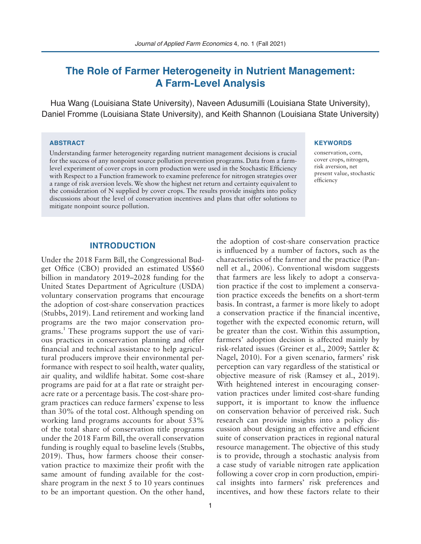# **The Role of Farmer Heterogeneity in Nutrient Management: A Farm-Level Analysis**

Hua Wang (Louisiana State University), Naveen Adusumilli (Louisiana State University), Daniel Fromme (Louisiana State University), and Keith Shannon (Louisiana State University)

#### **ABSTRACT**

Understanding farmer heterogeneity regarding nutrient management decisions is crucial for the success of any nonpoint source pollution prevention programs. Data from a farmlevel experiment of cover crops in corn production were used in the Stochastic Efficiency with Respect to a Function framework to examine preference for nitrogen strategies over a range of risk aversion levels. We show the highest net return and certainty equivalent to the consideration of N supplied by cover crops. The results provide insights into policy discussions about the level of conservation incentives and plans that offer solutions to mitigate nonpoint source pollution.

#### **KEYWORDS**

conservation, corn, cover crops, nitrogen, risk aversion, net present value, stochastic efficiency

# **INTRODUCTION**

Under the 2018 Farm Bill, the Congressional Budget Office (CBO) provided an estimated US\$60 billion in mandatory 2019–2028 funding for the United States Department of Agriculture (USDA) voluntary conservation programs that encourage the adoption of cost-share conservation practices (Stubbs, 2019). Land retirement and working land programs are the two major conservation programs.<sup>1</sup> These programs support the use of various practices in conservation planning and offer financial and technical assistance to help agricultural producers improve their environmental performance with respect to soil health, water quality, air quality, and wildlife habitat. Some cost-share programs are paid for at a flat rate or straight peracre rate or a percentage basis. The cost-share program practices can reduce farmers' expense to less than 30% of the total cost. Although spending on working land programs accounts for about 53% of the total share of conservation title programs under the 2018 Farm Bill, the overall conservation funding is roughly equal to baseline levels (Stubbs, 2019). Thus, how farmers choose their conservation practice to maximize their profit with the same amount of funding available for the costshare program in the next 5 to 10 years continues to be an important question. On the other hand,

is influenced by a number of factors, such as the characteristics of the farmer and the practice (Pannell et al., 2006). Conventional wisdom suggests that farmers are less likely to adopt a conservation practice if the cost to implement a conservation practice exceeds the benefits on a short-term basis. In contrast, a farmer is more likely to adopt a conservation practice if the financial incentive, together with the expected economic return, will be greater than the cost. Within this assumption, farmers' adoption decision is affected mainly by risk-related issues (Greiner et al., 2009; Sattler & Nagel, 2010). For a given scenario, farmers' risk perception can vary regardless of the statistical or objective measure of risk (Ramsey et al., 2019). With heightened interest in encouraging conservation practices under limited cost-share funding support, it is important to know the influence on conservation behavior of perceived risk. Such research can provide insights into a policy discussion about designing an effective and efficient suite of conservation practices in regional natural resource management. The objective of this study is to provide, through a stochastic analysis from a case study of variable nitrogen rate application following a cover crop in corn production, empirical insights into farmers' risk preferences and incentives, and how these factors relate to their

the adoption of cost-share conservation practice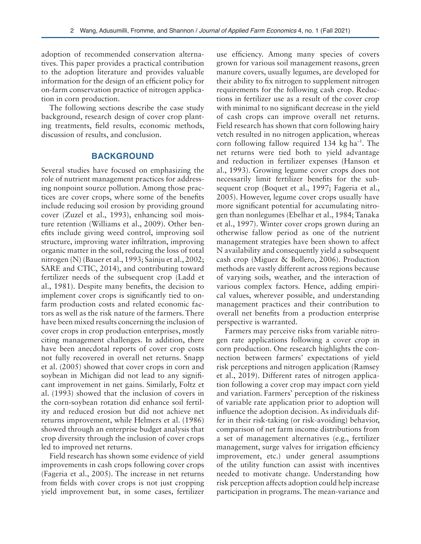adoption of recommended conservation alternatives. This paper provides a practical contribution to the adoption literature and provides valuable information for the design of an efficient policy for on-farm conservation practice of nitrogen application in corn production.

The following sections describe the case study background, research design of cover crop planting treatments, field results, economic methods, discussion of results, and conclusion.

# **BACKGROUND**

Several studies have focused on emphasizing the role of nutrient management practices for addressing nonpoint source pollution. Among those practices are cover crops, where some of the benefits include reducing soil erosion by providing ground cover (Zuzel et al., 1993), enhancing soil moisture retention (Williams et al., 2009). Other benefits include giving weed control, improving soil structure, improving water infiltration, improving organic matter in the soil, reducing the loss of total nitrogen (N) (Bauer et al., 1993; Sainju et al., 2002; SARE and CTIC, 2014), and contributing toward fertilizer needs of the subsequent crop (Ladd et al., 1981). Despite many benefits, the decision to implement cover crops is significantly tied to onfarm production costs and related economic factors as well as the risk nature of the farmers. There have been mixed results concerning the inclusion of cover crops in crop production enterprises, mostly citing management challenges. In addition, there have been anecdotal reports of cover crop costs not fully recovered in overall net returns. Snapp et al. (2005) showed that cover crops in corn and soybean in Michigan did not lead to any significant improvement in net gains. Similarly, Foltz et al. (1993) showed that the inclusion of covers in the corn-soybean rotation did enhance soil fertility and reduced erosion but did not achieve net returns improvement, while Helmers et al. (1986) showed through an enterprise budget analysis that crop diversity through the inclusion of cover crops led to improved net returns.

Field research has shown some evidence of yield improvements in cash crops following cover crops (Fageria et al., 2005). The increase in net returns from fields with cover crops is not just cropping yield improvement but, in some cases, fertilizer use efficiency. Among many species of covers grown for various soil management reasons, green manure covers, usually legumes, are developed for their ability to fix nitrogen to supplement nitrogen requirements for the following cash crop. Reductions in fertilizer use as a result of the cover crop with minimal to no significant decrease in the yield of cash crops can improve overall net returns. Field research has shown that corn following hairy vetch resulted in no nitrogen application, whereas corn following fallow required 134 kg ha<sup>-1</sup>. The net returns were tied both to yield advantage and reduction in fertilizer expenses (Hanson et al., 1993). Growing legume cover crops does not necessarily limit fertilizer benefits for the subsequent crop (Boquet et al., 1997; Fageria et al., 2005). However, legume cover crops usually have more significant potential for accumulating nitrogen than nonlegumes (Ebelhar et al., 1984; Tanaka et al., 1997). Winter cover crops grown during an otherwise fallow period as one of the nutrient management strategies have been shown to affect N availability and consequently yield a subsequent cash crop (Miguez & Bollero, 2006). Production methods are vastly different across regions because of varying soils, weather, and the interaction of various complex factors. Hence, adding empirical values, wherever possible, and understanding management practices and their contribution to overall net benefits from a production enterprise perspective is warranted.

Farmers may perceive risks from variable nitrogen rate applications following a cover crop in corn production. One research highlights the connection between farmers' expectations of yield risk perceptions and nitrogen application (Ramsey et al., 2019). Different rates of nitrogen application following a cover crop may impact corn yield and variation. Farmers' perception of the riskiness of variable rate application prior to adoption will influence the adoption decision. As individuals differ in their risk-taking (or risk-avoiding) behavior, comparison of net farm income distributions from a set of management alternatives (e.g., fertilizer management, surge valves for irrigation efficiency improvement, etc.) under general assumptions of the utility function can assist with incentives needed to motivate change. Understanding how risk perception affects adoption could help increase participation in programs. The mean-variance and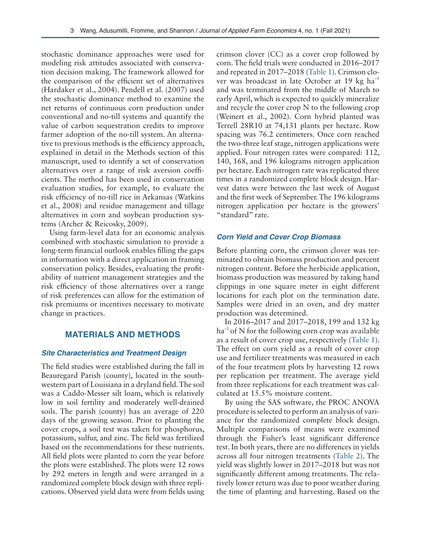stochastic dominance approaches were used for modeling risk attitudes associated with conservation decision making. The framework allowed for the comparison of the efficient set of alternatives (Hardaker et al., 2004). Pendell et al. (2007) used the stochastic dominance method to examine the net returns of continuous corn production under conventional and no-till systems and quantify the value of carbon sequestration credits to improve farmer adoption of the no-till system. An alternative to previous methods is the efficiency approach, explained in detail in the Methods section of this manuscript, used to identify a set of conservation alternatives over a range of risk aversion coefficients. The method has been used in conservation evaluation studies, for example, to evaluate the risk efficiency of no-till rice in Arkansas (Watkins et al., 2008) and residue management and tillage alternatives in corn and soybean production systems (Archer & Reicosky, 2009).

Using farm-level data for an economic analysis combined with stochastic simulation to provide a long-term financial outlook enables filling the gaps in information with a direct application in framing conservation policy. Besides, evaluating the profitability of nutrient management strategies and the risk efficiency of those alternatives over a range of risk preferences can allow for the estimation of risk premiums or incentives necessary to motivate change in practices.

# **MATERIALS AND METHODS**

#### *Site Characteristics and Treatment Design*

The field studies were established during the fall in Beauregard Parish (county), located in the southwestern part of Louisiana in a dryland field. The soil was a Caddo-Messer silt loam, which is relatively low in soil fertility and moderately well-drained soils. The parish (county) has an average of 220 days of the growing season. Prior to planting the cover crops, a soil test was taken for phosphorus, potassium, sulfur, and zinc. The field was fertilized based on the recommendations for these nutrients. All field plots were planted to corn the year before the plots were established. The plots were 12 rows by 292 meters in length and were arranged in a randomized complete block design with three replications. Observed yield data were from fields using

crimson clover (CC) as a cover crop followed by corn. The field trials were conducted in 2016–2017 and repeated in 2017–2018 (Table 1). Crimson clover was broadcast in late October at 19 kg ha–1 and was terminated from the middle of March to early April, which is expected to quickly mineralize and recycle the cover crop N to the following crop (Weinert et al., 2002). Corn hybrid planted was Terrell 28R10 at 74,131 plants per hectare. Row spacing was 76.2 centimeters. Once corn reached the two-three leaf stage, nitrogen applications were applied. Four nitrogen rates were compared: 112, 140, 168, and 196 kilograms nitrogen application per hectare. Each nitrogen rate was replicated three times in a randomized complete block design. Harvest dates were between the last week of August and the first week of September. The 196 kilograms nitrogen application per hectare is the growers' "standard" rate.

#### *Corn Yield and Cover Crop Biomass*

Before planting corn, the crimson clover was terminated to obtain biomass production and percent nitrogen content. Before the herbicide application, biomass production was measured by taking hand clippings in one square meter in eight different locations for each plot on the termination date. Samples were dried in an oven, and dry matter production was determined.

In 2016–2017 and 2017–2018, 199 and 132 kg  $ha^{-1}$  of N for the following corn crop was available as a result of cover crop use, respectively (Table 1). The effect on corn yield as a result of cover crop use and fertilizer treatments was measured in each of the four treatment plots by harvesting 12 rows per replication per treatment. The average yield from three replications for each treatment was calculated at 15.5% moisture content.

By using the SAS software, the PROC ANOVA procedure is selected to perform an analysis of variance for the randomized complete block design. Multiple comparisons of means were examined through the Fisher's least significant difference test. In both years, there are no differences in yields across all four nitrogen treatments (Table 2). The yield was slightly lower in 2017–2018 but was not significantly different among treatments. The relatively lower return was due to poor weather during the time of planting and harvesting. Based on the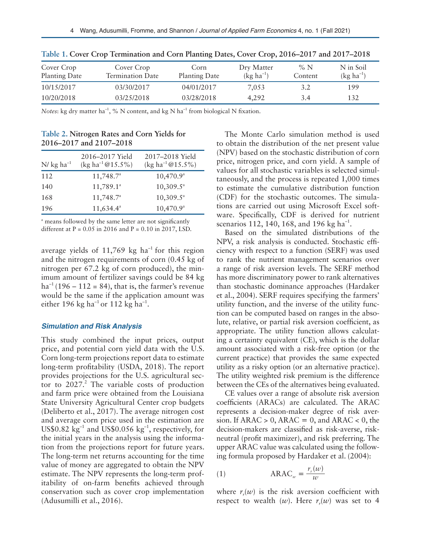| Cover Crop<br>Planting Date | Cover Crop<br>Termination Date | Corn<br>Planting Date | Dry Matter<br>$(kg ha^{-1})$ | $\%$ N<br>Content | N in Soil<br>$(kg ha^{-1})$ |
|-----------------------------|--------------------------------|-----------------------|------------------------------|-------------------|-----------------------------|
| 10/15/2017                  | 03/30/2017                     | 04/01/2017            | 7,053                        | 3.2               | 199                         |
| 10/20/2018                  | 03/25/2018                     | 03/28/2018            | 4.292                        | 3.4               | 132                         |

**Table 1. Cover Crop Termination and Corn Planting Dates, Cover Crop, 2016–2017 and 2017–2018**

*Notes*: kg dry matter ha<sup>-1</sup>, % N content, and kg N ha<sup>-1</sup> from biological N fixation.

| Table 2. Nitrogen Rates and Corn Yields for |  |  |  |  |
|---------------------------------------------|--|--|--|--|
| 2016–2017 and 2107–2018                     |  |  |  |  |

| $N/\text{kg}$ ha <sup>-1</sup> | 2016-2017 Yield<br>(kg ha <sup>-1</sup> $@15.5\%$ ) | 2017-2018 Yield<br>(kg ha <sup>-1</sup> $@15.5\%$ ) |
|--------------------------------|-----------------------------------------------------|-----------------------------------------------------|
| 112                            | $11,748.7^{\circ}$                                  | $10,470.9^{\circ}$                                  |
| 140                            | $11,789.1^a$                                        | $10,309.5^{\circ}$                                  |
| 168                            | $11,748.7^a$                                        | $10,309.5^{\circ}$                                  |
| 196                            | $11,634.4^a$                                        | $10,470.9^{\circ}$                                  |

<sup>a</sup> means followed by the same letter are not significantly different at  $P = 0.05$  in 2016 and  $P = 0.10$  in 2017, LSD.

average yields of 11,769 kg ha<sup>-1</sup> for this region and the nitrogen requirements of corn (0.45 kg of nitrogen per 67.2 kg of corn produced), the minimum amount of fertilizer savings could be 84 kg  $ha^{-1}(196 - 112 = 84)$ , that is, the farmer's revenue would be the same if the application amount was either 196 kg ha<sup>-1</sup> or 112 kg ha<sup>-1</sup>.

#### *Simulation and Risk Analysis*

This study combined the input prices, output price, and potential corn yield data with the U.S. Corn long-term projections report data to estimate long-term profitability (USDA, 2018). The report provides projections for the U.S. agricultural sector to  $2027<sup>2</sup>$ . The variable costs of production and farm price were obtained from the Louisiana State University Agricultural Center crop budgets (Deliberto et al., 2017). The average nitrogen cost and average corn price used in the estimation are US\$0.82 kg<sup>-1</sup> and US\$0.056 kg<sup>-1</sup>, respectively, for the initial years in the analysis using the information from the projections report for future years. The long-term net returns accounting for the time value of money are aggregated to obtain the NPV estimate. The NPV represents the long-term profitability of on-farm benefits achieved through conservation such as cover crop implementation (Adusumilli et al., 2016).

The Monte Carlo simulation method is used to obtain the distribution of the net present value (NPV) based on the stochastic distribution of corn price, nitrogen price, and corn yield. A sample of values for all stochastic variables is selected simultaneously, and the process is repeated 1,000 times to estimate the cumulative distribution function (CDF) for the stochastic outcomes. The simulations are carried out using Microsoft Excel software. Specifically, CDF is derived for nutrient scenarios 112, 140, 168, and 196 kg ha<sup>-1</sup>.

Based on the simulated distributions of the NPV, a risk analysis is conducted. Stochastic efficiency with respect to a function (SERF) was used to rank the nutrient management scenarios over a range of risk aversion levels. The SERF method has more discriminatory power to rank alternatives than stochastic dominance approaches (Hardaker et al., 2004). SERF requires specifying the farmers' utility function, and the inverse of the utility function can be computed based on ranges in the absolute, relative, or partial risk aversion coefficient, as appropriate. The utility function allows calculating a certainty equivalent (CE), which is the dollar amount associated with a risk-free option (or the current practice) that provides the same expected utility as a risky option (or an alternative practice). The utility weighted risk premium is the difference between the CEs of the alternatives being evaluated.

CE values over a range of absolute risk aversion coefficients (ARACs) are calculated. The ARAC represents a decision-maker degree of risk aversion. If ARAC  $> 0$ , ARAC  $= 0$ , and ARAC  $< 0$ , the decision-makers are classified as risk-averse, riskneutral (profit maximizer), and risk preferring. The upper ARAC value was calculated using the following formula proposed by Hardaker et al. (2004):

$$
\text{(1)} \qquad \qquad \text{ARAC}_{w} = \frac{r_r(w)}{w}
$$

where  $r_r(w)$  is the risk aversion coefficient with respect to wealth  $(w)$ . Here  $r_r(w)$  was set to 4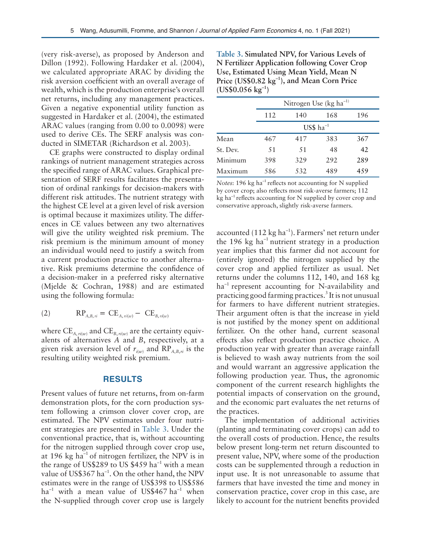(very risk-averse), as proposed by Anderson and Dillon (1992). Following Hardaker et al. (2004), we calculated appropriate ARAC by dividing the risk aversion coefficient with an overall average of wealth, which is the production enterprise's overall net returns, including any management practices. Given a negative exponential utility function as suggested in Hardaker et al. (2004), the estimated ARAC values (ranging from 0.00 to 0.0098) were used to derive CEs. The SERF analysis was conducted in SIMETAR (Richardson et al. 2003).

CE graphs were constructed to display ordinal rankings of nutrient management strategies across the specified range of ARAC values. Graphical presentation of SERF results facilitates the presentation of ordinal rankings for decision-makers with different risk attitudes. The nutrient strategy with the highest CE level at a given level of risk aversion is optimal because it maximizes utility. The differences in CE values between any two alternatives will give the utility weighted risk premium. The risk premium is the minimum amount of money an individual would need to justify a switch from a current production practice to another alternative. Risk premiums determine the confidence of a decision-maker in a preferred risky alternative (Mjelde & Cochran, 1988) and are estimated using the following formula:

(2) RP*A B*, , *ri* = − CE*A r*, , *i w* ^ ^ h h CE*B ri w*

where  $\text{CE}_{A,\textit{ri}(w)}$  and  $\text{CE}_{B,\textit{ri}(w)}$  are the certainty equivalents of alternatives *A* and *B*, respectively, at a given risk aversion level of  $r_{i(w)}$  and  $RP_{A,B,\pi i}$  is the resulting utility weighted risk premium.

#### **RESULTS**

Present values of future net returns, from on-farm demonstration plots, for the corn production system following a crimson clover cover crop, are estimated. The NPV estimates under four nutrient strategies are presented in Table 3. Under the conventional practice, that is, without accounting for the nitrogen supplied through cover crop use, at 196 kg ha<sup>-1</sup> of nitrogen fertilizer, the NPV is in the range of US\$289 to US\$459 ha<sup>-1</sup> with a mean value of US\$367 ha<sup>-1</sup>. On the other hand, the NPV estimates were in the range of US\$398 to US\$586  $ha^{-1}$  with a mean value of US\$467  $ha^{-1}$  when the N-supplied through cover crop use is largely

**Table 3. Simulated NPV, for Various Levels of N Fertilizer Application following Cover Crop Use, Estimated Using Mean Yield, Mean N Price (US\$0.82 kg–1), and Mean Corn Price (US\$0.056 kg–1)**

|          | Nitrogen Use ( $kg \text{ ha}^{-1}$ ) |     |     |     |  |
|----------|---------------------------------------|-----|-----|-----|--|
|          | 112                                   | 140 | 168 | 196 |  |
|          | $US$$ ha <sup>-1</sup>                |     |     |     |  |
| Mean     | 467                                   | 417 | 383 | 367 |  |
| St. Dev. | 51                                    | .51 | 48  | 42  |  |
| Minimum  | 398                                   | 329 | 292 | 289 |  |
| Maximum  | 586                                   | 532 | 489 | 459 |  |

*Notes*: 196 kg ha<sup>-1</sup> reflects not accounting for N supplied by cover crop; also reflects most risk-averse farmers; 112  $kg$  ha<sup>-1</sup> reflects accounting for N supplied by cover crop and conservative approach, slightly risk-averse farmers.

accounted  $(112 \text{ kg ha}^{-1})$ . Farmers' net return under the 196 kg ha $^{-1}$  nutrient strategy in a production year implies that this farmer did not account for (entirely ignored) the nitrogen supplied by the cover crop and applied fertilizer as usual. Net returns under the columns 112, 140, and 168 kg  $ha^{-1}$  represent accounting for N-availability and practicing good farming practices.<sup>3</sup> It is not unusual for farmers to have different nutrient strategies. Their argument often is that the increase in yield is not justified by the money spent on additional fertilizer. On the other hand, current seasonal effects also reflect production practice choice. A production year with greater than average rainfall is believed to wash away nutrients from the soil and would warrant an aggressive application the following production year. Thus, the agronomic component of the current research highlights the potential impacts of conservation on the ground, and the economic part evaluates the net returns of the practices.

The implementation of additional activities (planting and terminating cover crops) can add to the overall costs of production. Hence, the results below present long-term net return discounted to present value, NPV, where some of the production costs can be supplemented through a reduction in input use. It is not unreasonable to assume that farmers that have invested the time and money in conservation practice, cover crop in this case, are likely to account for the nutrient benefits provided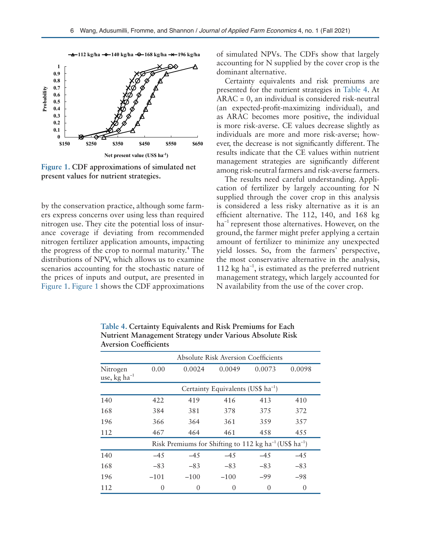

**Figure 1. CDF approximations of simulated net present values for nutrient strategies.** 

by the conservation practice, although some farmers express concerns over using less than required nitrogen use. They cite the potential loss of insurance coverage if deviating from recommended nitrogen fertilizer application amounts, impacting the progress of the crop to normal maturity.<sup>4</sup> The distributions of NPV, which allows us to examine scenarios accounting for the stochastic nature of the prices of inputs and output, are presented in Figure 1. Figure 1 shows the CDF approximations

of simulated NPVs. The CDFs show that largely accounting for N supplied by the cover crop is the dominant alternative.

Certainty equivalents and risk premiums are presented for the nutrient strategies in Table 4. At ARAC = 0, an individual is considered risk-neutral (an expected-profit-maximizing individual), and as ARAC becomes more positive, the individual is more risk-averse. CE values decrease slightly as individuals are more and more risk-averse; however, the decrease is not significantly different. The results indicate that the CE values within nutrient management strategies are significantly different among risk-neutral farmers and risk-averse farmers.

The results need careful understanding. Application of fertilizer by largely accounting for N supplied through the cover crop in this analysis is considered a less risky alternative as it is an efficient alternative. The 112, 140, and 168 kg  $ha^{-1}$  represent those alternatives. However, on the ground, the farmer might prefer applying a certain amount of fertilizer to minimize any unexpected yield losses. So, from the farmers' perspective, the most conservative alternative in the analysis, 112 kg  $ha^{-1}$ , is estimated as the preferred nutrient management strategy, which largely accounted for N availability from the use of the cover crop.

**Table 4. Certainty Equivalents and Risk Premiums for Each Nutrient Management Strategy under Various Absolute Risk Aversion Coefficients**

|                                | <b>Absolute Risk Aversion Coefficients</b>                                     |                  |                  |          |          |  |  |
|--------------------------------|--------------------------------------------------------------------------------|------------------|------------------|----------|----------|--|--|
| Nitrogen<br>use, kg ha $^{-1}$ | 0.00                                                                           | 0.0024           | 0.0049           | 0.0073   | 0.0098   |  |  |
|                                | Certainty Equivalents (US\$ $ha^{-1}$ )                                        |                  |                  |          |          |  |  |
| 140                            | 422                                                                            | 419              | 416              | 413      | 410      |  |  |
| 168                            | 384                                                                            | 381              | 378              | 375      | 372      |  |  |
| 196                            | 366                                                                            | 364              | 361              | 359      | 357      |  |  |
| 112                            | 467                                                                            | 464              | 461              | 458      | 455      |  |  |
|                                | Risk Premiums for Shifting to 112 kg ha <sup>-1</sup> (US\$ ha <sup>-1</sup> ) |                  |                  |          |          |  |  |
| 140                            | $-45$                                                                          | $-45$            | $-45$            | $-45$    | $-45$    |  |  |
| 168                            | $-83$                                                                          | $-83$            | $-83$            | $-83$    | $-83$    |  |  |
| 196                            | $-101$                                                                         | $-100$           | $-100$           | -99      | $-98$    |  |  |
| 112                            | $\theta$                                                                       | $\left( \right)$ | $\left( \right)$ | $\theta$ | $\theta$ |  |  |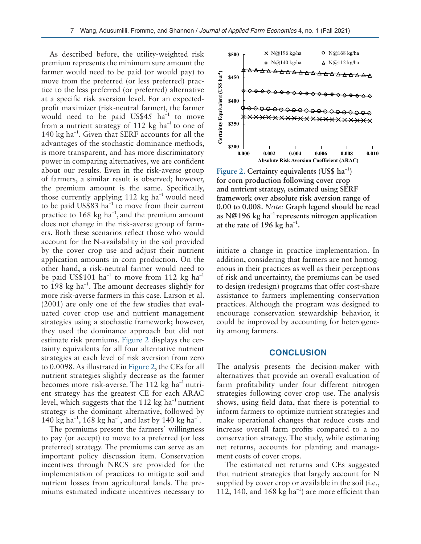As described before, the utility-weighted risk premium represents the minimum sure amount the farmer would need to be paid (or would pay) to move from the preferred (or less preferred) practice to the less preferred (or preferred) alternative at a specific risk aversion level. For an expectedprofit maximizer (risk-neutral farmer), the farmer would need to be paid US\$45  $ha^{-1}$  to move from a nutrient strategy of 112 kg  $ha^{-1}$  to one of 140 kg ha<sup>-1</sup>. Given that SERF accounts for all the advantages of the stochastic dominance methods, is more transparent, and has more discriminatory power in comparing alternatives, we are confident about our results. Even in the risk-averse group of farmers, a similar result is observed; however, the premium amount is the same. Specifically, those currently applying 112 kg ha<sup>-1</sup> would need to be paid US\$83  $ha^{-1}$  to move from their current practice to 168 kg  $ha^{-1}$ , and the premium amount does not change in the risk-averse group of farmers. Both these scenarios reflect those who would account for the N-availability in the soil provided by the cover crop use and adjust their nutrient application amounts in corn production. On the other hand, a risk-neutral farmer would need to be paid US\$101 ha<sup>-1</sup> to move from 112 kg ha<sup>-1</sup> to 198 kg ha<sup>-1</sup>. The amount decreases slightly for more risk-averse farmers in this case. Larson et al. (2001) are only one of the few studies that evaluated cover crop use and nutrient management strategies using a stochastic framework; however, they used the dominance approach but did not estimate risk premiums. Figure 2 displays the certainty equivalents for all four alternative nutrient strategies at each level of risk aversion from zero to 0.0098. As illustrated in Figure 2, the CEs for all nutrient strategies slightly decrease as the farmer becomes more risk-averse. The  $112$  kg ha<sup>-1</sup> nutrient strategy has the greatest CE for each ARAC level, which suggests that the 112 kg ha<sup>-1</sup> nutrient strategy is the dominant alternative, followed by 140 kg ha<sup>-1</sup>, 168 kg ha<sup>-1</sup>, and last by 140 kg ha<sup>-1</sup>.

The premiums present the farmers' willingness to pay (or accept) to move to a preferred (or less preferred) strategy. The premiums can serve as an important policy discussion item. Conservation incentives through NRCS are provided for the implementation of practices to mitigate soil and nutrient losses from agricultural lands. The premiums estimated indicate incentives necessary to



**Figure 2. Certainty equivalents (US\$ ha–1) for corn production following cover crop and nutrient strategy, estimated using SERF framework over absolute risk aversion range of 0.00 to 0.008.** *Note:* **Graph legend should be read as N@196 kg ha–1 represents nitrogen application at the rate of 196 kg ha–1.**

initiate a change in practice implementation. In addition, considering that farmers are not homogenous in their practices as well as their perceptions of risk and uncertainty, the premiums can be used to design (redesign) programs that offer cost-share assistance to farmers implementing conservation practices. Although the program was designed to encourage conservation stewardship behavior, it could be improved by accounting for heterogeneity among farmers.

### **CONCLUSION**

The analysis presents the decision-maker with alternatives that provide an overall evaluation of farm profitability under four different nitrogen strategies following cover crop use. The analysis shows, using field data, that there is potential to inform farmers to optimize nutrient strategies and make operational changes that reduce costs and increase overall farm profits compared to a no conservation strategy. The study, while estimating net returns, accounts for planting and management costs of cover crops.

The estimated net returns and CEs suggested that nutrient strategies that largely account for N supplied by cover crop or available in the soil (i.e., 112, 140, and 168 kg  $ha^{-1}$ ) are more efficient than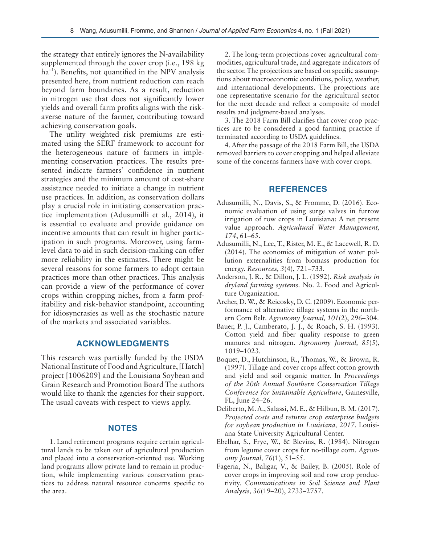the strategy that entirely ignores the N-availability supplemented through the cover crop (i.e., 198 kg  $ha^{-1}$ ). Benefits, not quantified in the NPV analysis presented here, from nutrient reduction can reach beyond farm boundaries. As a result, reduction in nitrogen use that does not significantly lower yields and overall farm profits aligns with the riskaverse nature of the farmer, contributing toward achieving conservation goals.

The utility weighted risk premiums are estimated using the SERF framework to account for the heterogeneous nature of farmers in implementing conservation practices. The results presented indicate farmers' confidence in nutrient strategies and the minimum amount of cost-share assistance needed to initiate a change in nutrient use practices. In addition, as conservation dollars play a crucial role in initiating conservation practice implementation (Adusumilli et al., 2014), it is essential to evaluate and provide guidance on incentive amounts that can result in higher participation in such programs. Moreover, using farmlevel data to aid in such decision-making can offer more reliability in the estimates. There might be several reasons for some farmers to adopt certain practices more than other practices. This analysis can provide a view of the performance of cover crops within cropping niches, from a farm profitability and risk-behavior standpoint, accounting for idiosyncrasies as well as the stochastic nature of the markets and associated variables.

# **ACKNOWLEDGMENTS**

This research was partially funded by the USDA National Institute of Food and Agriculture, [Hatch] project [1006209] and the Louisiana Soybean and Grain Research and Promotion Board The authors would like to thank the agencies for their support. The usual caveats with respect to views apply.

# **NOTES**

1. Land retirement programs require certain agricultural lands to be taken out of agricultural production and placed into a conservation-oriented use. Working land programs allow private land to remain in production, while implementing various conservation practices to address natural resource concerns specific to the area.

2. The long-term projections cover agricultural commodities, agricultural trade, and aggregate indicators of the sector. The projections are based on specific assumptions about macroeconomic conditions, policy, weather, and international developments. The projections are one representative scenario for the agricultural sector for the next decade and reflect a composite of model results and judgment-based analyses.

3. The 2018 Farm Bill clarifies that cover crop practices are to be considered a good farming practice if terminated according to USDA guidelines.

4. After the passage of the 2018 Farm Bill, the USDA removed barriers to cover cropping and helped alleviate some of the concerns farmers have with cover crops.

# **REFERENCES**

- Adusumilli, N., Davis, S., & Fromme, D. (2016). Economic evaluation of using surge valves in furrow irrigation of row crops in Louisiana: A net present value approach. *Agricultural Water Management, 174*, 61–65.
- Adusumilli, N., Lee, T., Rister, M. E., & Lacewell, R. D. (2014). The economics of mitigation of water pollution externalities from biomass production for energy. *Resources, 3*(4), 721–733.
- Anderson, J. R., & Dillon, J. L. (1992). *Risk analysis in dryland farming systems.* No. 2. Food and Agriculture Organization.
- Archer, D. W., & Reicosky, D. C. (2009). Economic performance of alternative tillage systems in the northern Corn Belt. *Agronomy Journal, 101*(2), 296–304.
- Bauer, P. J., Camberato, J. J., & Roach, S. H. (1993). Cotton yield and fiber quality response to green manures and nitrogen. *Agronomy Journal, 85*(5), 1019–1023.
- Boquet, D., Hutchinson, R., Thomas, W., & Brown, R. (1997). Tillage and cover crops affect cotton growth and yield and soil organic matter. In *Proceedings of the 20th Annual Southern Conservation Tillage Conference for Sustainable Agriculture*, Gainesville, FL, June 24–26.
- Deliberto, M. A., Salassi, M. E., & Hilbun, B. M. (2017). *Projected costs and returns crop enterprise budgets for soybean production in Louisiana, 2017*. Louisiana State University Agricultural Center.
- Ebelhar, S., Frye, W., & Blevins, R. (1984). Nitrogen from legume cover crops for no-tillage corn. *Agronomy Journal, 76*(1), 51–55.
- Fageria, N., Baligar, V., & Bailey, B. (2005). Role of cover crops in improving soil and row crop productivity. *Communications in Soil Science and Plant Analysis, 36*(19–20), 2733–2757.